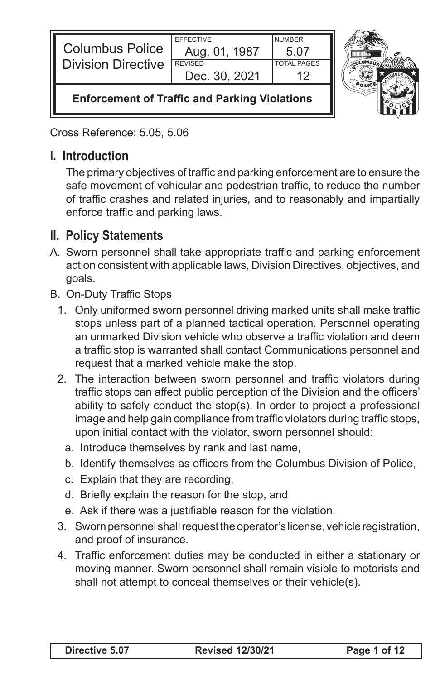| <b>Columbus Police</b><br><b>Division Directive</b>  | <b>FFFFCTIVE</b><br>Aug. 01, 1987<br><b>REVISED</b><br>Dec. 30, 2021 | <b>NUMBER</b><br>5.07<br><b>TOTAL PAGES</b> |  |
|------------------------------------------------------|----------------------------------------------------------------------|---------------------------------------------|--|
| <b>Enforcement of Traffic and Parking Violations</b> |                                                                      |                                             |  |

Cross Reference: 5.05, 5.06

## **I. Introduction**

 The primary objectives of traffic and parking enforcement are to ensure the safe movement of vehicular and pedestrian traffic, to reduce the number of traffic crashes and related injuries, and to reasonably and impartially enforce traffic and parking laws.

## **II. Policy Statements**

- A. Sworn personnel shall take appropriate traffic and parking enforcement action consistent with applicable laws, Division Directives, objectives, and goals.
- B. On-Duty Traffic Stops
	- 1. Only uniformed sworn personnel driving marked units shall make traffic stops unless part of a planned tactical operation. Personnel operating an unmarked Division vehicle who observe a traffic violation and deem a traffic stop is warranted shall contact Communications personnel and request that a marked vehicle make the stop.
	- 2. The interaction between sworn personnel and traffic violators during traffic stops can affect public perception of the Division and the officers' ability to safely conduct the stop(s). In order to project a professional image and help gain compliance from traffic violators during traffic stops, upon initial contact with the violator, sworn personnel should:
		- a. Introduce themselves by rank and last name,
		- b. Identify themselves as officers from the Columbus Division of Police,
		- c. Explain that they are recording,
		- d. Briefly explain the reason for the stop, and
		- e. Ask if there was a justifiable reason for the violation.
	- 3. Sworn personnel shall request the operator's license, vehicle registration, and proof of insurance.
	- 4. Traffic enforcement duties may be conducted in either a stationary or moving manner. Sworn personnel shall remain visible to motorists and shall not attempt to conceal themselves or their vehicle(s).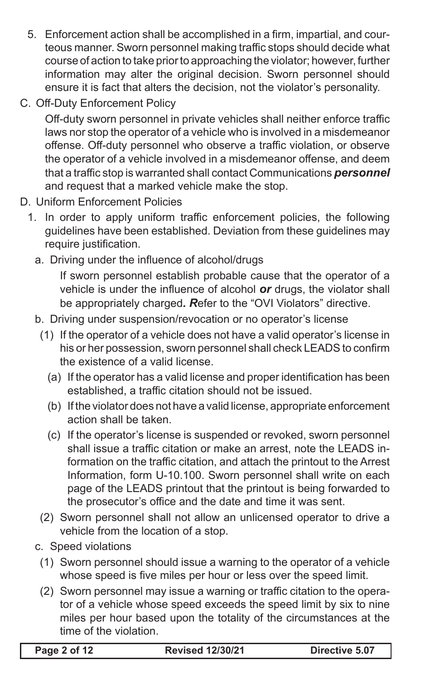- 5. Enforcement action shall be accomplished in a firm, impartial, and courteous manner. Sworn personnel making traffic stops should decide what course of action to take priorto approaching the violator; however, further information may alter the original decision. Sworn personnel should ensure it is fact that alters the decision, not the violator's personality.
- C. Off-Duty Enforcement Policy

 Off-duty sworn personnel in private vehicles shall neither enforce traffic laws nor stop the operator of a vehicle who is involved in a misdemeanor offense. Off-duty personnel who observe a traffic violation, or observe the operator of a vehicle involved in a misdemeanor offense, and deem that a traffic stop is warranted shall contact Communications *personnel*  and request that a marked vehicle make the stop.

- D. Uniform Enforcement Policies
	- 1. In order to apply uniform traffic enforcement policies, the following guidelines have been established. Deviation from these guidelines may require justification.
		- a. Driving under the influence of alcohol/drugs

 If sworn personnel establish probable cause that the operator of a vehicle is under the influence of alcohol *or* drugs, the violator shall be appropriately charged*. R*efer to the "OVI Violators" directive.

- b. Driving under suspension/revocation or no operator's license
	- (1) If the operator of a vehicle does not have a valid operator's license in his or her possession, sworn personnel shall check LEADS to confirm the existence of a valid license.
		- (a) If the operator has a valid license and proper identification has been established, a traffic citation should not be issued.
		- (b) If the violator does not have a valid license, appropriate enforcement action shall be taken.
		- (c) If the operator's license is suspended or revoked, sworn personnel shall issue a traffic citation or make an arrest, note the LEADS information on the traffic citation, and attach the printout to the Arrest Information, form U-10.100. Sworn personnel shall write on each page of the LEADS printout that the printout is being forwarded to the prosecutor's office and the date and time it was sent.
	- (2) Sworn personnel shall not allow an unlicensed operator to drive a vehicle from the location of a stop.
- c. Speed violations
	- (1) Sworn personnel should issue a warning to the operator of a vehicle whose speed is five miles per hour or less over the speed limit.
	- (2) Sworn personnel may issue a warning or traffic citation to the operator of a vehicle whose speed exceeds the speed limit by six to nine miles per hour based upon the totality of the circumstances at the time of the violation.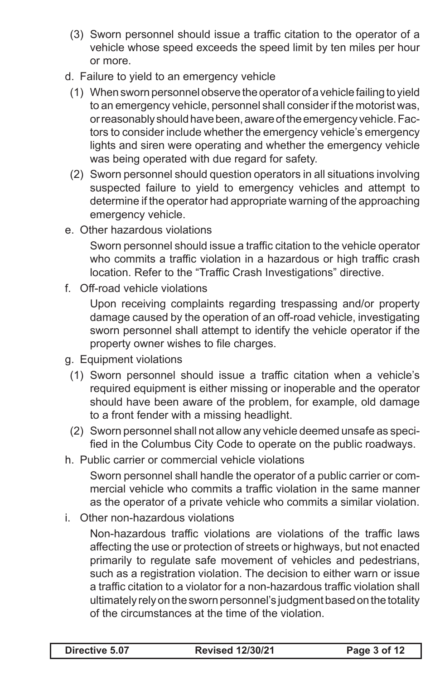- (3) Sworn personnel should issue a traffic citation to the operator of a vehicle whose speed exceeds the speed limit by ten miles per hour or more.
- d. Failure to yield to an emergency vehicle
	- (1) When sworn personnel observe the operator of a vehicle failing to yield to an emergency vehicle, personnel shall consider if the motorist was, orreasonably shouldhavebeen,awareoftheemergency vehicle.Factors to consider include whether the emergency vehicle's emergency lights and siren were operating and whether the emergency vehicle was being operated with due regard for safety.
	- (2) Sworn personnel should question operators in all situations involving suspected failure to yield to emergency vehicles and attempt to determine if the operator had appropriate warning of the approaching emergency vehicle.
- e. Other hazardous violations

 Sworn personnel should issue a traffic citation to the vehicle operator who commits a traffic violation in a hazardous or high traffic crash location. Refer to the "Traffic Crash Investigations" directive.

f. Off-road vehicle violations

 Upon receiving complaints regarding trespassing and/or property damage caused by the operation of an off-road vehicle, investigating sworn personnel shall attempt to identify the vehicle operator if the property owner wishes to file charges.

- g. Equipment violations
	- (1) Sworn personnel should issue a traffic citation when a vehicle's required equipment is either missing or inoperable and the operator should have been aware of the problem, for example, old damage to a front fender with a missing headlight.
	- (2) Sworn personnel shall not allow any vehicle deemed unsafe as specified in the Columbus City Code to operate on the public roadways.
- h. Public carrier or commercial vehicle violations

 Sworn personnel shall handle the operator of a public carrier or commercial vehicle who commits a traffic violation in the same manner as the operator of a private vehicle who commits a similar violation.

i. Other non-hazardous violations

 Non-hazardous traffic violations are violations of the traffic laws affecting the use or protection of streets or highways, but not enacted primarily to regulate safe movement of vehicles and pedestrians, such as a registration violation. The decision to either warn or issue a traffic citation to a violator for a non-hazardous traffic violation shall ultimately relyontheswornpersonnel's judgmentbasedonthetotality of the circumstances at the time of the violation.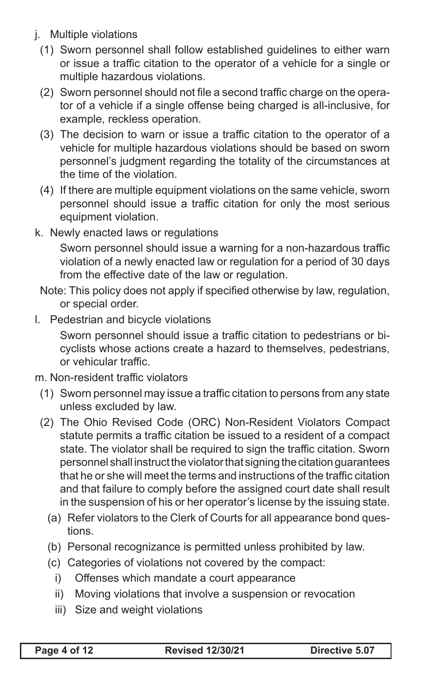- j. Multiple violations
	- (1) Sworn personnel shall follow established guidelines to either warn or issue a traffic citation to the operator of a vehicle for a single or multiple hazardous violations.
	- (2) Sworn personnel should not file a second traffic charge on the operator of a vehicle if a single offense being charged is all-inclusive, for example, reckless operation.
	- (3) The decision to warn or issue a traffic citation to the operator of a vehicle for multiple hazardous violations should be based on sworn personnel's judgment regarding the totality of the circumstances at the time of the violation.
	- (4) If there are multiple equipment violations on the same vehicle, sworn personnel should issue a traffic citation for only the most serious equipment violation.
- k. Newly enacted laws or regulations

 Sworn personnel should issue a warning for a non-hazardous traffic violation of a newly enacted law or regulation for a period of 30 days from the effective date of the law or regulation.

- Note: This policy does not apply if specified otherwise by law, regulation, or special order.
- I. Pedestrian and bicycle violations

 Sworn personnel should issue a traffic citation to pedestrians or bicyclists whose actions create a hazard to themselves, pedestrians, or vehicular traffic.

- m. Non-resident traffic violators
	- (1) Sworn personnel may issue a traffic citation to persons from any state unless excluded by law.
	- (2) The Ohio Revised Code (ORC) Non-Resident Violators Compact statute permits a traffic citation be issued to a resident of a compact state. The violator shall be required to sign the traffic citation. Sworn personnel shall instruct the violator that signing the citation guarantees that he or she will meet the terms and instructions of the traffic citation and that failure to comply before the assigned court date shall result in the suspension of his or her operator's license by the issuing state.
		- (a) Refer violators to the Clerk of Courts for all appearance bond questions.
		- (b) Personal recognizance is permitted unless prohibited by law.
		- (c) Categories of violations not covered by the compact:
			- i) Offenses which mandate a court appearance
			- ii) Moving violations that involve a suspension or revocation
			- iii) Size and weight violations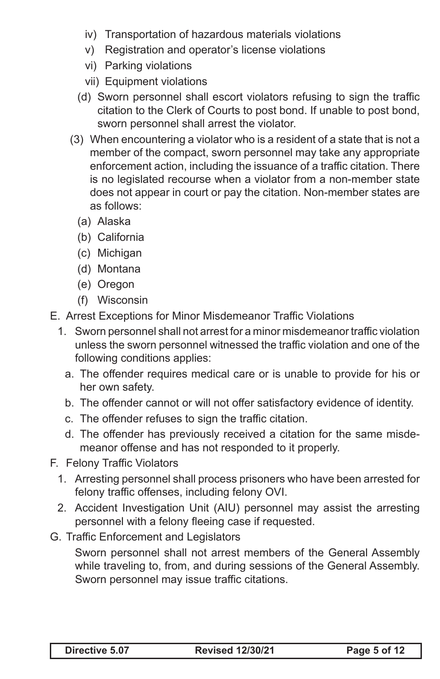- iv) Transportation of hazardous materials violations
- v) Registration and operator's license violations
- vi) Parking violations
- vii) Equipment violations
- (d) Sworn personnel shall escort violators refusing to sign the traffic citation to the Clerk of Courts to post bond. If unable to post bond, sworn personnel shall arrest the violator.
- (3) When encountering a violator who is a resident of a state that is not a member of the compact, sworn personnel may take any appropriate enforcement action, including the issuance of a traffic citation. There is no legislated recourse when a violator from a non-member state does not appear in court or pay the citation. Non-member states are as follows:
	- (a) Alaska
	- (b) California
	- (c) Michigan
	- (d) Montana
	- (e) Oregon
	- (f) Wisconsin
- E. Arrest Exceptions for Minor Misdemeanor Traffic Violations
	- 1. Sworn personnel shall not arrest for a minor misdemeanor traffic violation unless the sworn personnel witnessed the traffic violation and one of the following conditions applies:
		- a. The offender requires medical care or is unable to provide for his or her own safety.
		- b. The offender cannot or will not offer satisfactory evidence of identity.
		- c. The offender refuses to sign the traffic citation.
		- d. The offender has previously received a citation for the same misdemeanor offense and has not responded to it properly.
- F. Felony Traffic Violators
	- 1. Arresting personnel shall process prisoners who have been arrested for felony traffic offenses, including felony OVI.
	- 2. Accident Investigation Unit (AIU) personnel may assist the arresting personnel with a felony fleeing case if requested.
- G. Traffic Enforcement and Legislators

 Sworn personnel shall not arrest members of the General Assembly while traveling to, from, and during sessions of the General Assembly. Sworn personnel may issue traffic citations.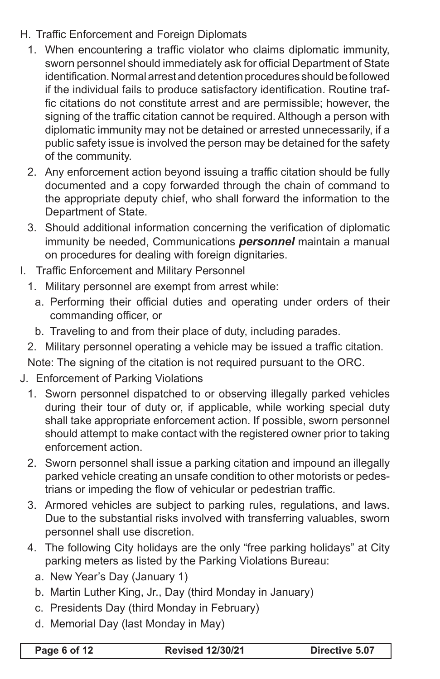- H. Traffic Enforcement and Foreign Diplomats
	- 1. When encountering a traffic violator who claims diplomatic immunity, sworn personnel should immediately ask for official Department of State identification. Normal arrest and detention procedures should be followed if the individual fails to produce satisfactory identification. Routine traffic citations do not constitute arrest and are permissible; however, the signing of the traffic citation cannot be required. Although a person with diplomatic immunity may not be detained or arrested unnecessarily, if a public safety issue is involved the person may be detained for the safety of the community.
	- 2. Any enforcement action beyond issuing a traffic citation should be fully documented and a copy forwarded through the chain of command to the appropriate deputy chief, who shall forward the information to the Department of State.
	- 3. Should additional information concerning the verification of diplomatic immunity be needed, Communications *personnel* maintain a manual on procedures for dealing with foreign dignitaries.
- I. Traffic Enforcement and Military Personnel
	- 1. Military personnel are exempt from arrest while:
		- a. Performing their official duties and operating under orders of their commanding officer, or
		- b. Traveling to and from their place of duty, including parades.
	- 2. Military personnel operating a vehicle may be issued a traffic citation.
	- Note: The signing of the citation is not required pursuant to the ORC.
- J. Enforcement of Parking Violations
	- 1. Sworn personnel dispatched to or observing illegally parked vehicles during their tour of duty or, if applicable, while working special duty shall take appropriate enforcement action. If possible, sworn personnel should attempt to make contact with the registered owner prior to taking enforcement action.
	- 2. Sworn personnel shall issue a parking citation and impound an illegally parked vehicle creating an unsafe condition to other motorists or pedestrians or impeding the flow of vehicular or pedestrian traffic.
	- 3. Armored vehicles are subject to parking rules, regulations, and laws. Due to the substantial risks involved with transferring valuables, sworn personnel shall use discretion.
	- 4. The following City holidays are the only "free parking holidays" at City parking meters as listed by the Parking Violations Bureau:
		- a. New Year's Day (January 1)
		- b. Martin Luther King, Jr., Day (third Monday in January)
		- c. Presidents Day (third Monday in February)
		- d. Memorial Day (last Monday in May)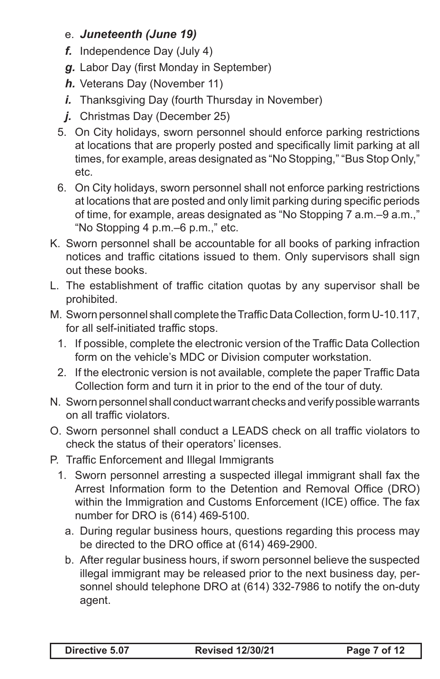## e. *Juneteenth (June 19)*

- *f.* Independence Day (July 4)
- *g.* Labor Day (first Monday in September)
- **h.** Veterans Day (November 11)
- *i.* Thanksgiving Day (fourth Thursday in November)
- *j.* Christmas Day (December 25)
- 5. On City holidays, sworn personnel should enforce parking restrictions at locations that are properly posted and specifically limit parking at all times, for example, areas designated as "No Stopping," "Bus Stop Only," etc.
- 6. On City holidays, sworn personnel shall not enforce parking restrictions at locations that are posted and only limit parking during specific periods of time, for example, areas designated as "No Stopping 7 a.m.–9 a.m.," "No Stopping 4 p.m.–6 p.m.," etc.
- K. Sworn personnel shall be accountable for all books of parking infraction notices and traffic citations issued to them. Only supervisors shall sign out these books.
- L. The establishment of traffic citation quotas by any supervisor shall be prohibited.
- M. Sworn personnel shall complete the Traffic Data Collection, form U-10.117, for all self-initiated traffic stops.
	- 1. If possible, complete the electronic version of the Traffic Data Collection form on the vehicle's MDC or Division computer workstation.
	- 2. If the electronic version is not available, complete the paper Traffic Data Collection form and turn it in prior to the end of the tour of duty.
- N. Sworn personnel shall conduct warrant checks and verify possible warrants on all traffic violators.
- O. Sworn personnel shall conduct a LEADS check on all traffic violators to check the status of their operators' licenses.
- P. Traffic Enforcement and Illegal Immigrants
	- 1. Sworn personnel arresting a suspected illegal immigrant shall fax the Arrest Information form to the Detention and Removal Office (DRO) within the Immigration and Customs Enforcement (ICE) office. The fax number for DRO is (614) 469-5100.
		- a. During regular business hours, questions regarding this process may be directed to the DRO office at (614) 469-2900.
		- b. After regular business hours, if sworn personnel believe the suspected illegal immigrant may be released prior to the next business day, personnel should telephone DRO at (614) 332-7986 to notify the on-duty agent.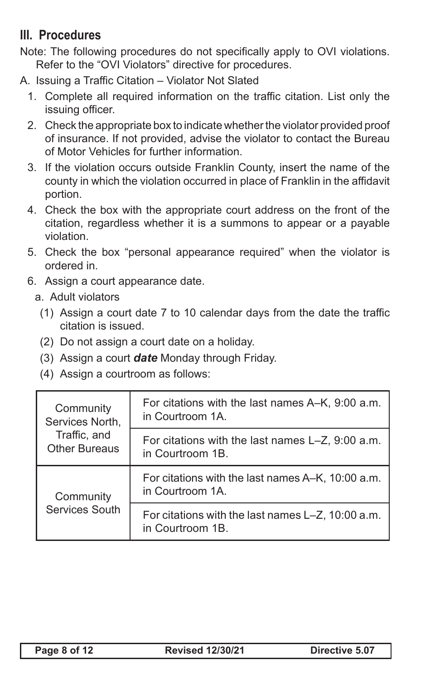## **III. Procedures**

- Note: The following procedures do not specifically apply to OVI violations. Refer to the "OVI Violators" directive for procedures.
- A. Issuing a Traffic Citation Violator Not Slated
	- 1. Complete all required information on the traffic citation. List only the issuing officer.
	- 2. Check the appropriate box to indicate whether the violator provided proof of insurance. If not provided, advise the violator to contact the Bureau of Motor Vehicles for further information.
	- 3. If the violation occurs outside Franklin County, insert the name of the county in which the violation occurred in place of Franklin in the affidavit portion.
	- 4. Check the box with the appropriate court address on the front of the citation, regardless whether it is a summons to appear or a payable violation.
	- 5. Check the box "personal appearance required" when the violator is ordered in.
	- 6. Assign a court appearance date.
		- a. Adult violators
			- $(1)$  Assign a court date 7 to 10 calendar days from the date the traffic citation is issued.
			- (2) Do not assign a court date on a holiday.
			- (3) Assign a court *date* Monday through Friday.
			- (4) Assign a courtroom as follows:

| Community<br>Services North,<br>Traffic, and<br><b>Other Bureaus</b> | For citations with the last names A–K, 9:00 a.m.<br>in Courtroom 1A.  |
|----------------------------------------------------------------------|-----------------------------------------------------------------------|
|                                                                      | For citations with the last names L-Z, 9:00 a.m.<br>in Courtroom 1B.  |
| Community<br>Services South                                          | For citations with the last names A–K, 10:00 a.m.<br>in Courtroom 1A. |
|                                                                      | For citations with the last names L-Z, 10:00 a.m.<br>in Courtroom 1B. |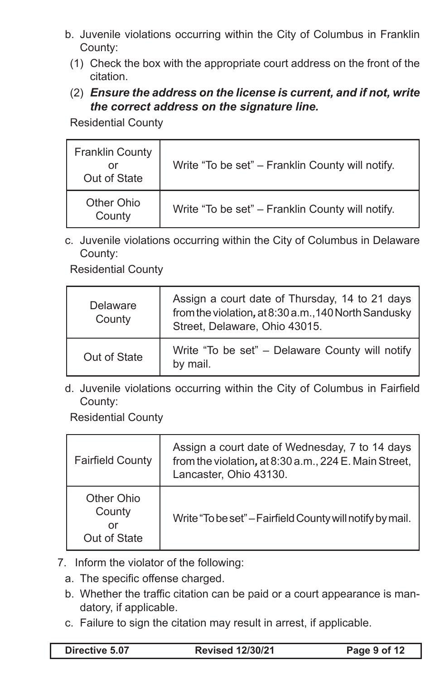- b. Juvenile violations occurring within the City of Columbus in Franklin County:
	- (1) Check the box with the appropriate court address on the front of the citation.
	- (2) *Ensure the address on the license is current, and if not, write the correct address on the signature line.*

Residential County

| <b>Franklin County</b><br>or<br>Out of State | Write "To be set" - Franklin County will notify. |
|----------------------------------------------|--------------------------------------------------|
| Other Ohio<br>County                         | Write "To be set" - Franklin County will notify. |

c. Juvenile violations occurring within the City of Columbus in Delaware County:

Residential County

| Delaware<br>County | Assign a court date of Thursday, 14 to 21 days<br>from the violation, at 8:30 a.m., 140 North Sandusky<br>Street, Delaware, Ohio 43015. |
|--------------------|-----------------------------------------------------------------------------------------------------------------------------------------|
| Out of State       | Write "To be set" - Delaware County will notify<br>by mail.                                                                             |

d. Juvenile violations occurring within the City of Columbus in Fairfield County:

Residential County

| <b>Fairfield County</b>                    | Assign a court date of Wednesday, 7 to 14 days<br>from the violation, at 8:30 a.m., 224 E. Main Street,<br>Lancaster, Ohio 43130. |
|--------------------------------------------|-----------------------------------------------------------------------------------------------------------------------------------|
| Other Ohio<br>County<br>or<br>Out of State | Write "To be set" - Fairfield County will notify by mail.                                                                         |

- 7. Inform the violator of the following:
	- a. The specific offense charged.
	- b. Whether the traffic citation can be paid or a court appearance is mandatory, if applicable.
	- c. Failure to sign the citation may result in arrest, if applicable.

**Directive 5.07 Revised 12/30/21 Page 9 of 12**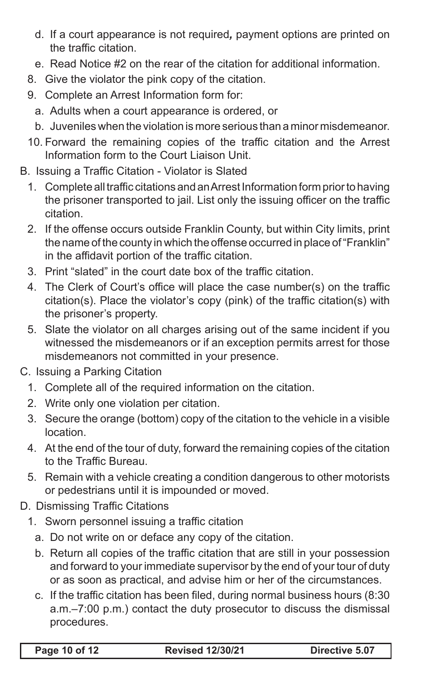- d. If a court appearance is not required*,* payment options are printed on the traffic citation.
- e. Read Notice #2 on the rear of the citation for additional information.
- 8. Give the violator the pink copy of the citation.
- 9. Complete an Arrest Information form for:
	- a. Adults when a court appearance is ordered, or
	- b. Juveniles when the violation is more serious than a minor misdemeanor.
- 10. Forward the remaining copies of the traffic citation and the Arrest Information form to the Court Liaison Unit.
- B. Issuing a Traffic Citation Violator is Slated
	- 1. Complete all traffic citations and an Arrest Information form prior to having the prisoner transported to jail. List only the issuing officer on the traffic citation.
	- 2. If the offense occurs outside Franklin County, but within City limits, print the name of the county in which the offense occurred in place of"Franklin" in the affidavit portion of the traffic citation.
	- 3. Print "slated" in the court date box of the traffic citation.
	- 4. The Clerk of Court's office will place the case number(s) on the traffic citation(s). Place the violator's copy (pink) of the traffic citation(s) with the prisoner's property.
	- 5. Slate the violator on all charges arising out of the same incident if you witnessed the misdemeanors or if an exception permits arrest for those misdemeanors not committed in your presence.
- C. Issuing a Parking Citation
	- 1. Complete all of the required information on the citation.
	- 2. Write only one violation per citation.
	- 3. Secure the orange (bottom) copy of the citation to the vehicle in a visible location.
	- 4. At the end of the tour of duty, forward the remaining copies of the citation to the Traffic Bureau.
	- 5. Remain with a vehicle creating a condition dangerous to other motorists or pedestrians until it is impounded or moved.
- D. Dismissing Traffic Citations
	- 1. Sworn personnel issuing a traffic citation
		- a. Do not write on or deface any copy of the citation.
		- b. Return all copies of the traffic citation that are still in your possession and forward to your immediate supervisor by the end of your tour of duty or as soon as practical, and advise him or her of the circumstances.
		- c. If the traffic citation has been filed, during normal business hours (8:30) a.m.–7:00 p.m.) contact the duty prosecutor to discuss the dismissal procedures.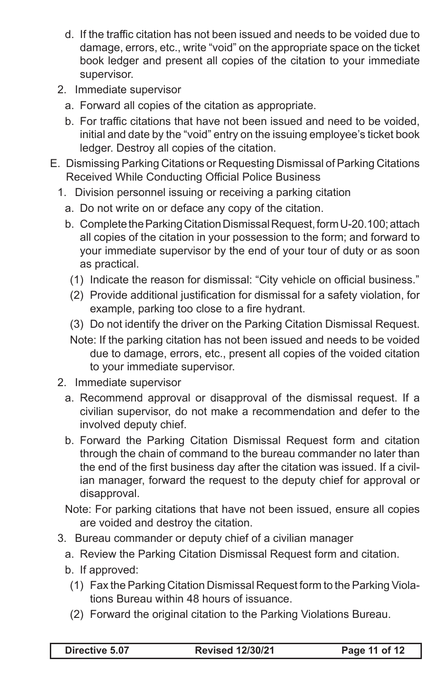- d. If the traffic citation has not been issued and needs to be voided due to damage, errors, etc., write "void" on the appropriate space on the ticket book ledger and present all copies of the citation to your immediate supervisor.
- 2. Immediate supervisor
	- a. Forward all copies of the citation as appropriate.
	- b. For traffic citations that have not been issued and need to be voided, initial and date by the "void" entry on the issuing employee's ticket book ledger. Destroy all copies of the citation.
- E. Dismissing Parking Citations or Requesting Dismissal of Parking Citations Received While Conducting Official Police Business
	- 1. Division personnel issuing or receiving a parking citation
		- a. Do not write on or deface any copy of the citation.
		- b. Complete the Parking Citation Dismissal Request, form U-20.100; attach all copies of the citation in your possession to the form; and forward to your immediate supervisor by the end of your tour of duty or as soon as practical.
			- (1) Indicate the reason for dismissal: "City vehicle on official business."
			- (2) Provide additional justification for dismissal for a safety violation, for example, parking too close to a fire hydrant.
			- (3) Do not identify the driver on the Parking Citation Dismissal Request.
			- Note: If the parking citation has not been issued and needs to be voided due to damage, errors, etc., present all copies of the voided citation to your immediate supervisor.
	- 2. Immediate supervisor
		- a. Recommend approval or disapproval of the dismissal request. If a civilian supervisor, do not make a recommendation and defer to the involved deputy chief.
		- b. Forward the Parking Citation Dismissal Request form and citation through the chain of command to the bureau commander no later than the end of the first business day after the citation was issued. If a civilian manager, forward the request to the deputy chief for approval or disapproval.
		- Note: For parking citations that have not been issued, ensure all copies are voided and destroy the citation.
	- 3. Bureau commander or deputy chief of a civilian manager
		- a. Review the Parking Citation Dismissal Request form and citation.
		- b. If approved:
			- (1) Fax the Parking Citation Dismissal Request form to the Parking Violations Bureau within 48 hours of issuance.
		- (2) Forward the original citation to the Parking Violations Bureau.